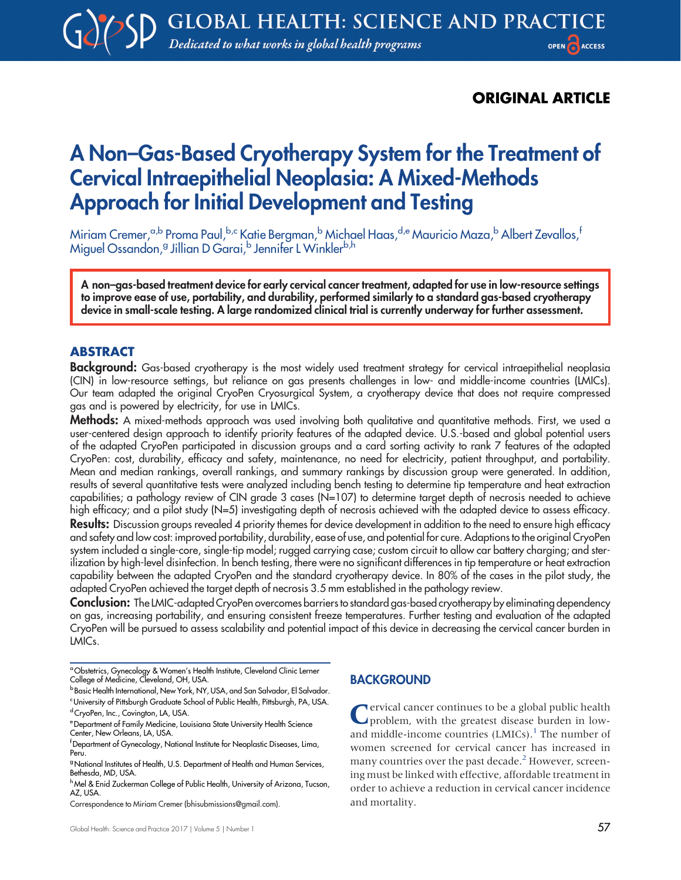# ORIGINAL ARTICLE

# A Non–Gas-Based Cryotherapy System for the Treatment of Cervical Intraepithelial Neoplasia: A Mixed-Methods Approach for Initial Development and Testing

Miriam Cremer,<sup>a,b</sup> Proma Paul,<sup>b,c</sup> Katie Bergman,<sup>b</sup> Michael Haas,<sup>d,e</sup> Mauricio Maza,<sup>b</sup> Albert Zevallos,<sup>f</sup> Miguel Ossandon,<sup>g</sup> Jillian D Garai,<sup>b</sup> Jennifer L Winkler<sup>b,h</sup>

A non–gas-based treatment device for early cervical cancer treatment, adapted for use in low-resource settings to improve ease of use, portability, and durability, performed similarly to a standard gas-based cryotherapy device in small-scale testing. A large randomized clinical trial is currently underway for further assessment.

# ABSTRACT

Background: Gas-based cryotherapy is the most widely used treatment strategy for cervical intraepithelial neoplasia (CIN) in low-resource settings, but reliance on gas presents challenges in low- and middle-income countries (LMICs). Our team adapted the original CryoPen Cryosurgical System, a cryotherapy device that does not require compressed gas and is powered by electricity, for use in LMICs.

Methods: A mixed-methods approach was used involving both qualitative and quantitative methods. First, we used a user-centered design approach to identify priority features of the adapted device. U.S.-based and global potential users of the adapted CryoPen participated in discussion groups and a card sorting activity to rank 7 features of the adapted CryoPen: cost, durability, efficacy and safety, maintenance, no need for electricity, patient throughput, and portability. Mean and median rankings, overall rankings, and summary rankings by discussion group were generated. In addition, results of several quantitative tests were analyzed including bench testing to determine tip temperature and heat extraction capabilities; a pathology review of CIN grade 3 cases (N=107) to determine target depth of necrosis needed to achieve high efficacy; and a pilot study (N=5) investigating depth of necrosis achieved with the adapted device to assess efficacy. Results: Discussion groups revealed 4 priority themes for device development in addition to the need to ensure high efficacy and safety and low cost: improved portability, durability, ease of use, and potential for cure. Adaptions to the original CryoPen system included a single-core, single-tip model; rugged carrying case; custom circuit to allow car battery charging; and sterilization by high-level disinfection. In bench testing, there were no significant differences in tip temperature or heat extraction capability between the adapted CryoPen and the standard cryotherapy device. In 80% of the cases in the pilot study, the adapted CryoPen achieved the target depth of necrosis 3.5 mm established in the pathology review.

Conclusion: The LMIC-adapted CryoPen overcomes barriers to standard gas-based cryotherapy by eliminating dependency on gas, increasing portability, and ensuring consistent freeze temperatures. Further testing and evaluation of the adapted CryoPen will be pursued to assess scalability and potential impact of this device in decreasing the cervical cancer burden in LMICs.

# **BACKGROUND**

Cervical cancer continues to be a global public health problem, with the greatest disease burden in lowand middle-income countries  $(LMICs)$ .<sup>[1](#page-7-0)</sup> The number of women screened for cervical cancer has increased in many countries over the past decade.<sup>[2](#page-7-1)</sup> However, screening must be linked with effective, affordable treatment in order to achieve a reduction in cervical cancer incidence and mortality.

aObstetrics, Gynecology & Women's Health Institute, Cleveland Clinic Lerner College of Medicine, Cleveland, OH, USA.

<sup>b</sup> Basic Health International, New York, NY, USA, and San Salvador, El Salvador. <sup>c</sup> University of Pittsburgh Graduate School of Public Health, Pittsburgh, PA, USA.

d CryoPen, Inc., Covington, LA, USA.

e Department of Family Medicine, Louisiana State University Health Science Center, New Orleans, LA, USA.

f Department of Gynecology, National Institute for Neoplastic Diseases, Lima, Peru.

<sup>&</sup>lt;sup>9</sup> National Institutes of Health, U.S. Department of Health and Human Services, Bethesda, MD, USA.

h Mel & Enid Zuckerman College of Public Health, University of Arizona, Tucson, AZ, USA.

Correspondence to Miriam Cremer ([bhisubmissions@gmail.com](mailto:bhisubmissions@gmail.com)).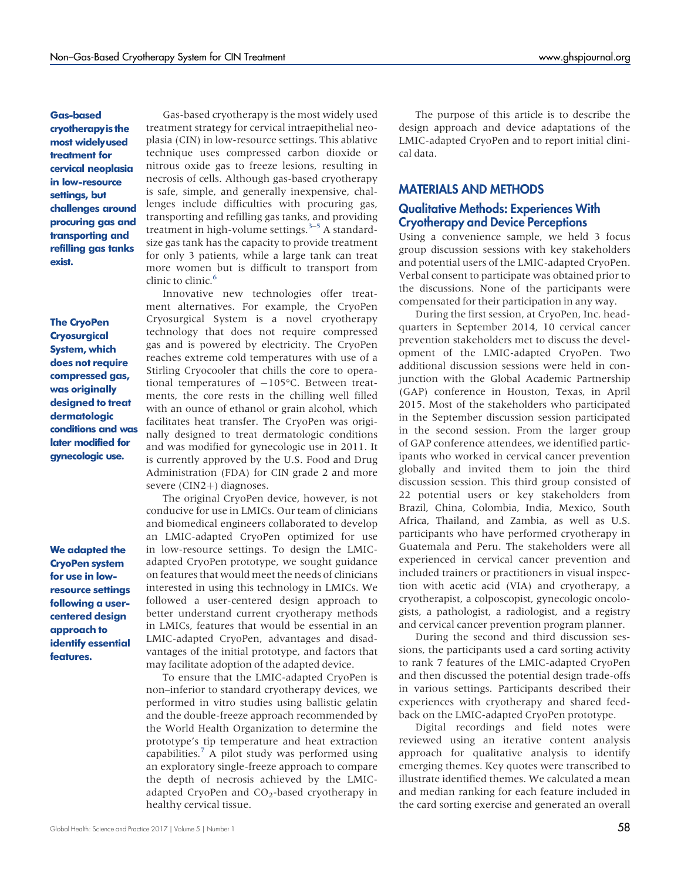Gas-based cryotherapyis the most widelyused treatment for cervical neoplasia in low-resource settings, but challenges around procuring gas and transporting and refilling gas tanks exist.

The CryoPen **Cryosurgical** System, which does not require compressed gas, was originally designed to treat dermatologic conditions and was later modified for gynecologic use.

We adapted the CryoPen system for use in lowresource settings following a usercentered design approach to identify essential features.

Gas-based cryotherapy is the most widely used treatment strategy for cervical intraepithelial neoplasia (CIN) in low-resource settings. This ablative technique uses compressed carbon dioxide or nitrous oxide gas to freeze lesions, resulting in necrosis of cells. Although gas-based cryotherapy is safe, simple, and generally inexpensive, challenges include difficulties with procuring gas, transporting and refilling gas tanks, and providing treatment in high-volume settings. $3-5$  $3-5$  A standardsize gas tank has the capacity to provide treatment for only 3 patients, while a large tank can treat more women but is difficult to transport from clinic to clinic.<sup>[6](#page-7-4)</sup>

Innovative new technologies offer treatment alternatives. For example, the CryoPen Cryosurgical System is a novel cryotherapy technology that does not require compressed gas and is powered by electricity. The CryoPen reaches extreme cold temperatures with use of a Stirling Cryocooler that chills the core to operational temperatures of  $-105^{\circ}$ C. Between treatments, the core rests in the chilling well filled with an ounce of ethanol or grain alcohol, which facilitates heat transfer. The CryoPen was originally designed to treat dermatologic conditions and was modified for gynecologic use in 2011. It is currently approved by the U.S. Food and Drug Administration (FDA) for CIN grade 2 and more severe  $(CIN2+)$  diagnoses.

The original CryoPen device, however, is not conducive for use in LMICs. Our team of clinicians and biomedical engineers collaborated to develop an LMIC-adapted CryoPen optimized for use in low-resource settings. To design the LMICadapted CryoPen prototype, we sought guidance on features that would meet the needs of clinicians interested in using this technology in LMICs. We followed a user-centered design approach to better understand current cryotherapy methods in LMICs, features that would be essential in an LMIC-adapted CryoPen, advantages and disadvantages of the initial prototype, and factors that may facilitate adoption of the adapted device.

To ensure that the LMIC-adapted CryoPen is non–inferior to standard cryotherapy devices, we performed in vitro studies using ballistic gelatin and the double-freeze approach recommended by the World Health Organization to determine the prototype's tip temperature and heat extraction capabilities.<sup>[7](#page-7-5)</sup> A pilot study was performed using an exploratory single-freeze approach to compare the depth of necrosis achieved by the LMICadapted CryoPen and  $CO<sub>2</sub>$ -based cryotherapy in healthy cervical tissue.

The purpose of this article is to describe the design approach and device adaptations of the LMIC-adapted CryoPen and to report initial clinical data.

## MATERIALS AND METHODS

# Qualitative Methods: Experiences With Cryotherapy and Device Perceptions

Using a convenience sample, we held 3 focus group discussion sessions with key stakeholders and potential users of the LMIC-adapted CryoPen. Verbal consent to participate was obtained prior to the discussions. None of the participants were compensated for their participation in any way.

During the first session, at CryoPen, Inc. headquarters in September 2014, 10 cervical cancer prevention stakeholders met to discuss the development of the LMIC-adapted CryoPen. Two additional discussion sessions were held in conjunction with the Global Academic Partnership (GAP) conference in Houston, Texas, in April 2015. Most of the stakeholders who participated in the September discussion session participated in the second session. From the larger group of GAP conference attendees, we identified participants who worked in cervical cancer prevention globally and invited them to join the third discussion session. This third group consisted of 22 potential users or key stakeholders from Brazil, China, Colombia, India, Mexico, South Africa, Thailand, and Zambia, as well as U.S. participants who have performed cryotherapy in Guatemala and Peru. The stakeholders were all experienced in cervical cancer prevention and included trainers or practitioners in visual inspection with acetic acid (VIA) and cryotherapy, a cryotherapist, a colposcopist, gynecologic oncologists, a pathologist, a radiologist, and a registry and cervical cancer prevention program planner.

During the second and third discussion sessions, the participants used a card sorting activity to rank 7 features of the LMIC-adapted CryoPen and then discussed the potential design trade-offs in various settings. Participants described their experiences with cryotherapy and shared feedback on the LMIC-adapted CryoPen prototype.

Digital recordings and field notes were reviewed using an iterative content analysis approach for qualitative analysis to identify emerging themes. Key quotes were transcribed to illustrate identified themes. We calculated a mean and median ranking for each feature included in the card sorting exercise and generated an overall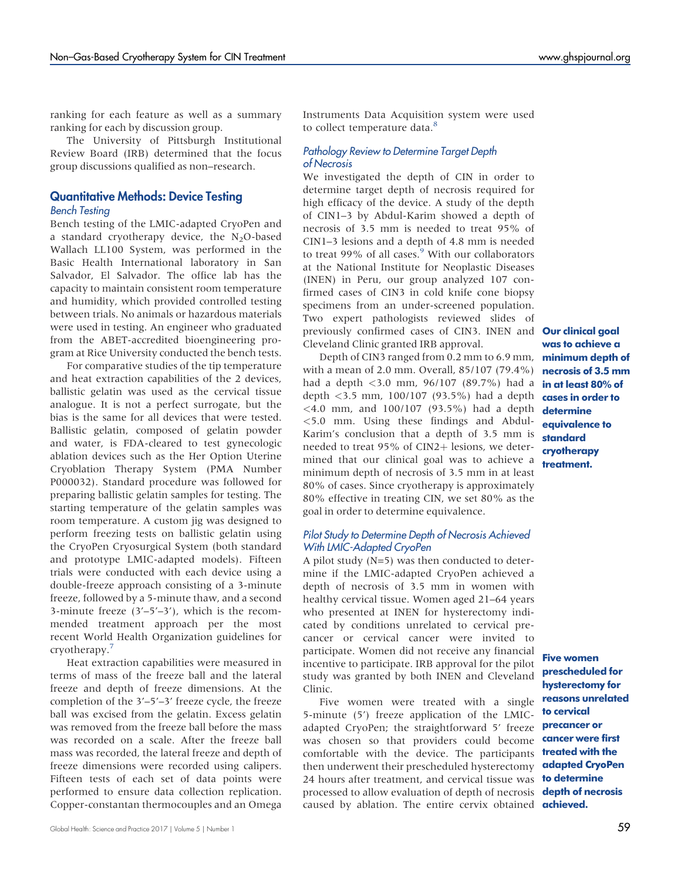ranking for each feature as well as a summary ranking for each by discussion group.

The University of Pittsburgh Institutional Review Board (IRB) determined that the focus group discussions qualified as non–research.

#### Quantitative Methods: Device Testing Bench Testing

Bench testing of the LMIC-adapted CryoPen and a standard cryotherapy device, the  $N_2O$ -based Wallach LL100 System, was performed in the Basic Health International laboratory in San Salvador, El Salvador. The office lab has the capacity to maintain consistent room temperature and humidity, which provided controlled testing between trials. No animals or hazardous materials were used in testing. An engineer who graduated from the ABET-accredited bioengineering program at Rice University conducted the bench tests.

For comparative studies of the tip temperature and heat extraction capabilities of the 2 devices, ballistic gelatin was used as the cervical tissue analogue. It is not a perfect surrogate, but the bias is the same for all devices that were tested. Ballistic gelatin, composed of gelatin powder and water, is FDA-cleared to test gynecologic ablation devices such as the Her Option Uterine Cryoblation Therapy System (PMA Number P000032). Standard procedure was followed for preparing ballistic gelatin samples for testing. The starting temperature of the gelatin samples was room temperature. A custom jig was designed to perform freezing tests on ballistic gelatin using the CryoPen Cryosurgical System (both standard and prototype LMIC-adapted models). Fifteen trials were conducted with each device using a double-freeze approach consisting of a 3-minute freeze, followed by a 5-minute thaw, and a second 3-minute freeze  $(3'-5'-3')$ , which is the recommended treatment approach per the most recent World Health Organization guidelines for cryotherapy.[7](#page-7-5)

Heat extraction capabilities were measured in terms of mass of the freeze ball and the lateral freeze and depth of freeze dimensions. At the completion of the 3'–5'–3' freeze cycle, the freeze ball was excised from the gelatin. Excess gelatin was removed from the freeze ball before the mass was recorded on a scale. After the freeze ball mass was recorded, the lateral freeze and depth of freeze dimensions were recorded using calipers. Fifteen tests of each set of data points were performed to ensure data collection replication. Copper-constantan thermocouples and an Omega Instruments Data Acquisition system were used to collect temperature data.<sup>[8](#page-7-6)</sup>

### Pathology Review to Determine Target Depth of Necrosis

We investigated the depth of CIN in order to determine target depth of necrosis required for high efficacy of the device. A study of the depth of CIN1–3 by Abdul-Karim showed a depth of necrosis of 3.5 mm is needed to treat 95% of CIN1–3 lesions and a depth of 4.8 mm is needed to treat [9](#page-7-7)9% of all cases.<sup>9</sup> With our collaborators at the National Institute for Neoplastic Diseases (INEN) in Peru, our group analyzed 107 confirmed cases of CIN3 in cold knife cone biopsy specimens from an under-screened population. Two expert pathologists reviewed slides of previously confirmed cases of CIN3. INEN and **Our clinical goal** Cleveland Clinic granted IRB approval.

Depth of CIN3 ranged from 0.2 mm to 6.9 mm, minimum depth of with a mean of 2.0 mm. Overall, 85/107 (79.4%) had a depth <3.0 mm, 96/107 (89.7%) had a **in at least 80% of** depth <3.5 mm, 100/107 (93.5%) had a depth cases in order to <4.0 mm, and 100/107 (93.5%) had a depth <5.0 mm. Using these findings and Abdul-Karim's conclusion that a depth of 3.5 mm is needed to treat 95% of CIN2+ lesions, we determined that our clinical goal was to achieve a minimum depth of necrosis of 3.5 mm in at least 80% of cases. Since cryotherapy is approximately 80% effective in treating CIN, we set 80% as the goal in order to determine equivalence.

#### Pilot Study to Determine Depth of Necrosis Achieved With LMIC-Adapted CryoPen

A pilot study (N=5) was then conducted to determine if the LMIC-adapted CryoPen achieved a depth of necrosis of 3.5 mm in women with healthy cervical tissue. Women aged 21–64 years who presented at INEN for hysterectomy indicated by conditions unrelated to cervical precancer or cervical cancer were invited to participate. Women did not receive any financial incentive to participate. IRB approval for the pilot study was granted by both INEN and Cleveland Clinic.

Five women were treated with a single 5-minute (5') freeze application of the LMICadapted CryoPen; the straightforward 5' freeze was chosen so that providers could become comfortable with the device. The participants **freated with the** then underwent their prescheduled hysterectomy 24 hours after treatment, and cervical tissue was processed to allow evaluation of depth of necrosis caused by ablation. The entire cervix obtained **achieved.** 

was to achieve a necrosis of 3.5 mm determine equivalence to standard cryotherapy treatment.

Five women prescheduled for hysterectomy for reasons unrelated to cervical precancer or cancer were first adapted CryoPen to determine depth of necrosis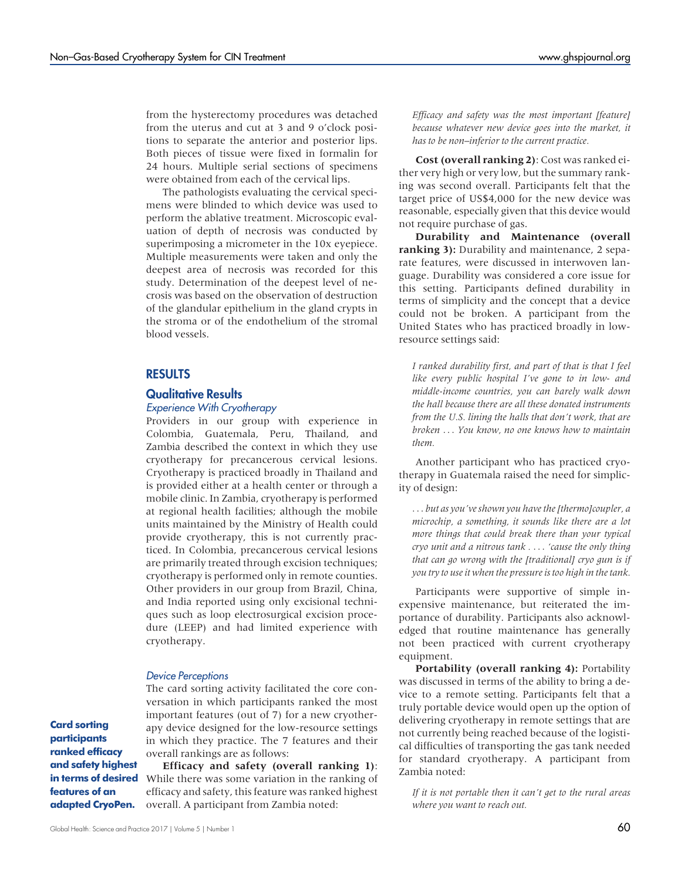from the hysterectomy procedures was detached from the uterus and cut at 3 and 9 o'clock positions to separate the anterior and posterior lips. Both pieces of tissue were fixed in formalin for 24 hours. Multiple serial sections of specimens were obtained from each of the cervical lips.

The pathologists evaluating the cervical specimens were blinded to which device was used to perform the ablative treatment. Microscopic evaluation of depth of necrosis was conducted by superimposing a micrometer in the 10x eyepiece. Multiple measurements were taken and only the deepest area of necrosis was recorded for this study. Determination of the deepest level of necrosis was based on the observation of destruction of the glandular epithelium in the gland crypts in the stroma or of the endothelium of the stromal blood vessels.

# **RESULTS**

#### Qualitative Results

#### Experience With Cryotherapy

Providers in our group with experience in Colombia, Guatemala, Peru, Thailand, and Zambia described the context in which they use cryotherapy for precancerous cervical lesions. Cryotherapy is practiced broadly in Thailand and is provided either at a health center or through a mobile clinic. In Zambia, cryotherapy is performed at regional health facilities; although the mobile units maintained by the Ministry of Health could provide cryotherapy, this is not currently practiced. In Colombia, precancerous cervical lesions are primarily treated through excision techniques; cryotherapy is performed only in remote counties. Other providers in our group from Brazil, China, and India reported using only excisional techniques such as loop electrosurgical excision procedure (LEEP) and had limited experience with cryotherapy.

#### Device Perceptions

The card sorting activity facilitated the core conversation in which participants ranked the most important features (out of 7) for a new cryotherapy device designed for the low-resource settings in which they practice. The 7 features and their overall rankings are as follows:

Card sorting participants ranked efficacy and safety highest features of an adapted CryoPen.

Efficacy and safety (overall ranking 1): **in terms of desired** While there was some variation in the ranking of efficacy and safety, this feature was ranked highest overall. A participant from Zambia noted:

Efficacy and safety was the most important [feature] because whatever new device goes into the market, it has to be non–inferior to the current practice.

Cost (overall ranking 2): Cost was ranked either very high or very low, but the summary ranking was second overall. Participants felt that the target price of US\$4,000 for the new device was reasonable, especially given that this device would not require purchase of gas.

Durability and Maintenance (overall ranking 3): Durability and maintenance, 2 separate features, were discussed in interwoven language. Durability was considered a core issue for this setting. Participants defined durability in terms of simplicity and the concept that a device could not be broken. A participant from the United States who has practiced broadly in lowresource settings said:

I ranked durability first, and part of that is that I feel like every public hospital I've gone to in low- and middle-income countries, you can barely walk down the hall because there are all these donated instruments from the U.S. lining the halls that don't work, that are broken ... You know, no one knows how to maintain them.

Another participant who has practiced cryotherapy in Guatemala raised the need for simplicity of design:

... but as you've shown you have the [thermo]coupler, a microchip, a something, it sounds like there are a lot more things that could break there than your typical cryo unit and a nitrous tank . ... 'cause the only thing that can go wrong with the [traditional] cryo gun is if you try to use it when the pressure is too high in the tank.

Participants were supportive of simple inexpensive maintenance, but reiterated the importance of durability. Participants also acknowledged that routine maintenance has generally not been practiced with current cryotherapy equipment.

Portability (overall ranking 4): Portability was discussed in terms of the ability to bring a device to a remote setting. Participants felt that a truly portable device would open up the option of delivering cryotherapy in remote settings that are not currently being reached because of the logistical difficulties of transporting the gas tank needed for standard cryotherapy. A participant from Zambia noted:

If it is not portable then it can't get to the rural areas where you want to reach out.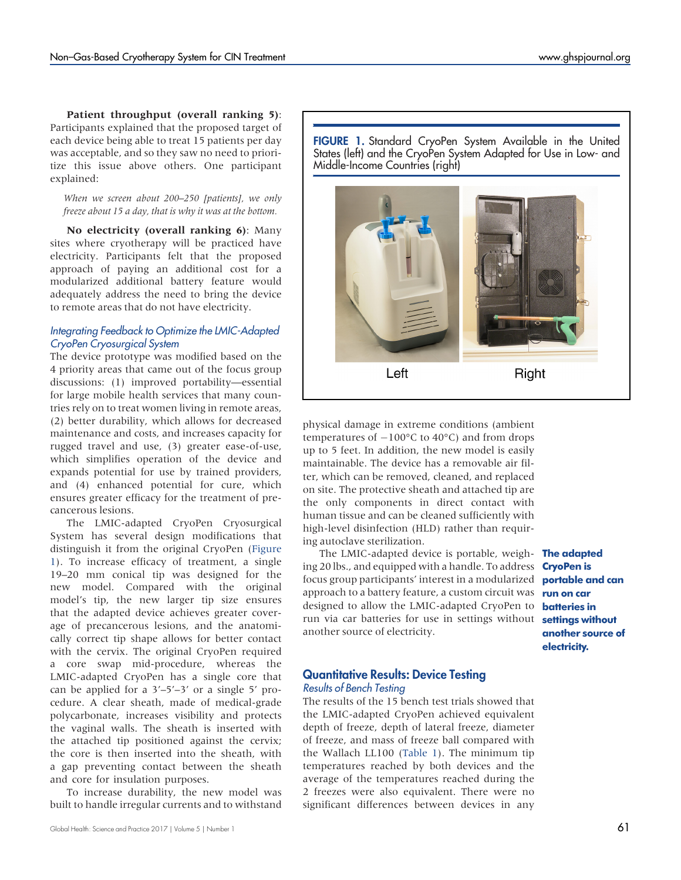Patient throughput (overall ranking 5): Participants explained that the proposed target of each device being able to treat 15 patients per day was acceptable, and so they saw no need to prioritize this issue above others. One participant explained:

When we screen about 200–250 [patients], we only freeze about 15 a day, that is why it was at the bottom.

No electricity (overall ranking 6): Many sites where cryotherapy will be practiced have electricity. Participants felt that the proposed approach of paying an additional cost for a modularized additional battery feature would adequately address the need to bring the device to remote areas that do not have electricity.

# Integrating Feedback to Optimize the LMIC-Adapted CryoPen Cryosurgical System

The device prototype was modified based on the 4 priority areas that came out of the focus group discussions: (1) improved portability—essential for large mobile health services that many countries rely on to treat women living in remote areas, (2) better durability, which allows for decreased maintenance and costs, and increases capacity for rugged travel and use, (3) greater ease-of-use, which simplifies operation of the device and expands potential for use by trained providers, and (4) enhanced potential for cure, which ensures greater efficacy for the treatment of precancerous lesions.

The LMIC-adapted CryoPen Cryosurgical System has several design modifications that distinguish it from the original CryoPen (Figure 1). To increase efficacy of treatment, a single 19–20 mm conical tip was designed for the new model. Compared with the original model's tip, the new larger tip size ensures that the adapted device achieves greater coverage of precancerous lesions, and the anatomically correct tip shape allows for better contact with the cervix. The original CryoPen required a core swap mid-procedure, whereas the LMIC-adapted CryoPen has a single core that can be applied for a  $3'$ –5'–3' or a single 5' procedure. A clear sheath, made of medical-grade polycarbonate, increases visibility and protects the vaginal walls. The sheath is inserted with the attached tip positioned against the cervix; the core is then inserted into the sheath, with a gap preventing contact between the sheath and core for insulation purposes.

To increase durability, the new model was built to handle irregular currents and to withstand



physical damage in extreme conditions (ambient temperatures of  $-100^{\circ}$ C to 40 $^{\circ}$ C) and from drops up to 5 feet. In addition, the new model is easily maintainable. The device has a removable air filter, which can be removed, cleaned, and replaced on site. The protective sheath and attached tip are the only components in direct contact with human tissue and can be cleaned sufficiently with high-level disinfection (HLD) rather than requiring autoclave sterilization.

The LMIC-adapted device is portable, weigh- The adapted ing 20 lbs., and equipped with a handle. To address **CryoPen is** focus group participants' interest in a modularized **portable and can** approach to a battery feature, a custom circuit was **run on car** designed to allow the LMIC-adapted CryoPen to **batteries in** run via car batteries for use in settings without settings without another source of electricity.

another source of electricity.

## Quantitative Results: Device Testing Results of Bench Testing

The results of the 15 bench test trials showed that the LMIC-adapted CryoPen achieved equivalent depth of freeze, depth of lateral freeze, diameter of freeze, and mass of freeze ball compared with the Wallach LL100 ([Table 1\)](#page-5-0). The minimum tip temperatures reached by both devices and the average of the temperatures reached during the 2 freezes were also equivalent. There were no significant differences between devices in any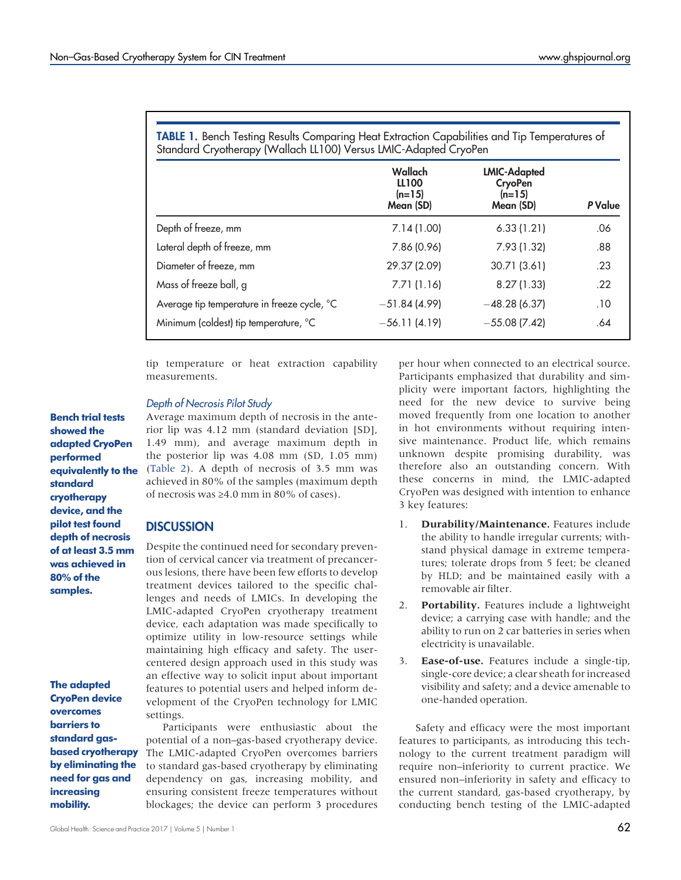<span id="page-5-0"></span>

|                                             | Wallach<br>LL100<br>$(n=15)$<br>Mean (SD) | <b>LMIC-Adapted</b><br><b>CryoPen</b><br>$(n=15)$<br>Mean (SD) | P Value |
|---------------------------------------------|-------------------------------------------|----------------------------------------------------------------|---------|
| Depth of freeze, mm                         | 7.14(1.00)                                | 6.33(1.21)                                                     | .06     |
| Lateral depth of freeze, mm                 | 7.86 (0.96)                               | 7.93 (1.32)                                                    | .88     |
| Diameter of freeze, mm                      | 29.37 (2.09)                              | 30.71 (3.61)                                                   | .23     |
| Mass of freeze ball, g                      | 7.71 (1.16)                               | 8.27(1.33)                                                     | .22     |
| Average tip temperature in freeze cycle, °C | $-51.84(4.99)$                            | $-48.28(6.37)$                                                 | .10     |
| Minimum (coldest) tip temperature, °C       | $-56.11(4.19)$                            | $-55.08(7.42)$                                                 | .64     |

tip temperature or heat extraction capability measurements.

# Depth of Necrosis Pilot Study

Bench trial tests showed the adapted CryoPen performed equivalently to the standard cryotherapy device, and the pilot test found depth of necrosis of at least 3.5 mm was achieved in 80% of the samples.

The adapted CryoPen device overcomes barriers to standard gasbased cryotherapy by eliminating the need for gas and increasing mobility.

Average maximum depth of necrosis in the anterior lip was 4.12 mm (standard deviation [SD], 1.49 mm), and average maximum depth in the posterior lip was 4.08 mm (SD, 1.05 mm) [\(Table 2\)](#page-6-0). A depth of necrosis of 3.5 mm was achieved in 80% of the samples (maximum depth of necrosis was ≥4.0 mm in 80% of cases).

# **DISCUSSION**

Despite the continued need for secondary prevention of cervical cancer via treatment of precancerous lesions, there have been few efforts to develop treatment devices tailored to the specific challenges and needs of LMICs. In developing the LMIC-adapted CryoPen cryotherapy treatment device, each adaptation was made specifically to optimize utility in low-resource settings while maintaining high efficacy and safety. The usercentered design approach used in this study was an effective way to solicit input about important features to potential users and helped inform development of the CryoPen technology for LMIC settings.

Participants were enthusiastic about the potential of a non–gas-based cryotherapy device. The LMIC-adapted CryoPen overcomes barriers to standard gas-based cryotherapy by eliminating dependency on gas, increasing mobility, and ensuring consistent freeze temperatures without blockages; the device can perform 3 procedures

per hour when connected to an electrical source. Participants emphasized that durability and simplicity were important factors, highlighting the need for the new device to survive being moved frequently from one location to another in hot environments without requiring intensive maintenance. Product life, which remains unknown despite promising durability, was therefore also an outstanding concern. With these concerns in mind, the LMIC-adapted CryoPen was designed with intention to enhance 3 key features:

- 1. **Durability/Maintenance.** Features include the ability to handle irregular currents; withstand physical damage in extreme temperatures; tolerate drops from 5 feet; be cleaned by HLD; and be maintained easily with a removable air filter.
- 2. Portability. Features include a lightweight device; a carrying case with handle; and the ability to run on 2 car batteries in series when electricity is unavailable.
- 3. Ease-of-use. Features include a single-tip, single-core device; a clear sheath for increased visibility and safety; and a device amenable to one-handed operation.

Safety and efficacy were the most important features to participants, as introducing this technology to the current treatment paradigm will require non–inferiority to current practice. We ensured non–inferiority in safety and efficacy to the current standard, gas-based cryotherapy, by conducting bench testing of the LMIC-adapted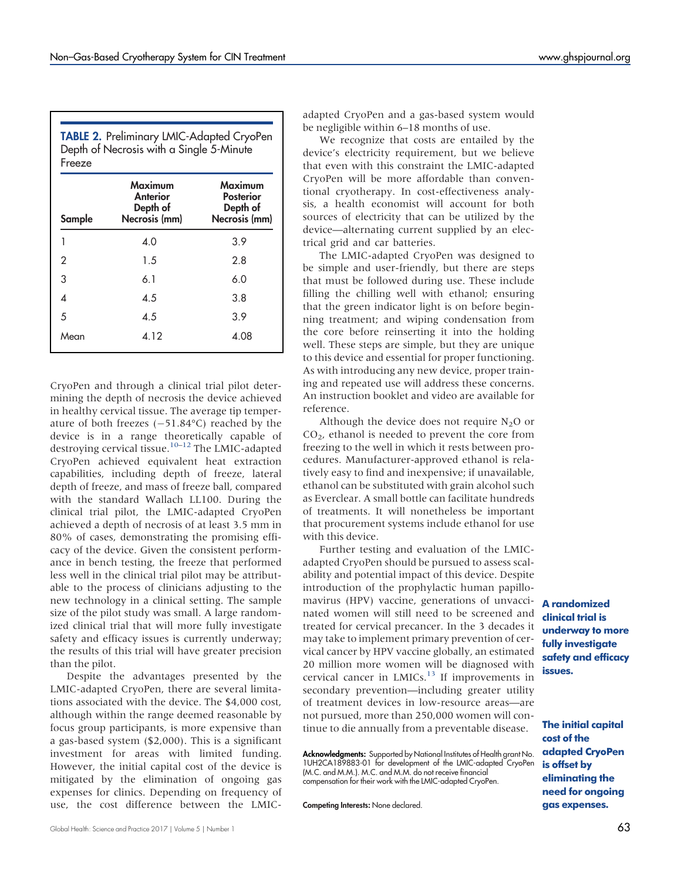<span id="page-6-0"></span>

| <b>TABLE 2. Preliminary LMIC-Adapted CryoPen</b><br>Depth of Necrosis with a Single 5-Minute<br>Freeze |                                                  |                                                          |  |
|--------------------------------------------------------------------------------------------------------|--------------------------------------------------|----------------------------------------------------------|--|
| Sample                                                                                                 | Maximum<br>Anterior<br>Depth of<br>Necrosis (mm) | Maximum<br><b>Posterior</b><br>Depth of<br>Necrosis (mm) |  |
| 1                                                                                                      | 4.0                                              | 3.9                                                      |  |
| 2                                                                                                      | 1.5                                              | 2.8                                                      |  |
| 3                                                                                                      | 6.1                                              | 6.0                                                      |  |
| 4                                                                                                      | 4.5                                              | 3.8                                                      |  |
| 5                                                                                                      | 4.5                                              | 3.9                                                      |  |
| Mean                                                                                                   | 4.12                                             | 4.08                                                     |  |

CryoPen and through a clinical trial pilot determining the depth of necrosis the device achieved in healthy cervical tissue. The average tip temperature of both freezes  $(-51.84^{\circ}C)$  reached by the device is in a range theoretically capable of destroying cervical tissue.<sup>[10](#page-7-8)–[12](#page-7-9)</sup> The LMIC-adapted CryoPen achieved equivalent heat extraction capabilities, including depth of freeze, lateral depth of freeze, and mass of freeze ball, compared with the standard Wallach LL100. During the clinical trial pilot, the LMIC-adapted CryoPen achieved a depth of necrosis of at least 3.5 mm in 80% of cases, demonstrating the promising efficacy of the device. Given the consistent performance in bench testing, the freeze that performed less well in the clinical trial pilot may be attributable to the process of clinicians adjusting to the new technology in a clinical setting. The sample size of the pilot study was small. A large randomized clinical trial that will more fully investigate safety and efficacy issues is currently underway; the results of this trial will have greater precision than the pilot.

Despite the advantages presented by the LMIC-adapted CryoPen, there are several limitations associated with the device. The \$4,000 cost, although within the range deemed reasonable by focus group participants, is more expensive than a gas-based system (\$2,000). This is a significant investment for areas with limited funding. However, the initial capital cost of the device is mitigated by the elimination of ongoing gas expenses for clinics. Depending on frequency of use, the cost difference between the LMIC-

adapted CryoPen and a gas-based system would be negligible within 6–18 months of use.

We recognize that costs are entailed by the device's electricity requirement, but we believe that even with this constraint the LMIC-adapted CryoPen will be more affordable than conventional cryotherapy. In cost-effectiveness analysis, a health economist will account for both sources of electricity that can be utilized by the device—alternating current supplied by an electrical grid and car batteries.

The LMIC-adapted CryoPen was designed to be simple and user-friendly, but there are steps that must be followed during use. These include filling the chilling well with ethanol; ensuring that the green indicator light is on before beginning treatment; and wiping condensation from the core before reinserting it into the holding well. These steps are simple, but they are unique to this device and essential for proper functioning. As with introducing any new device, proper training and repeated use will address these concerns. An instruction booklet and video are available for reference.

Although the device does not require  $N_2O$  or  $CO<sub>2</sub>$ , ethanol is needed to prevent the core from freezing to the well in which it rests between procedures. Manufacturer-approved ethanol is relatively easy to find and inexpensive; if unavailable, ethanol can be substituted with grain alcohol such as Everclear. A small bottle can facilitate hundreds of treatments. It will nonetheless be important that procurement systems include ethanol for use with this device.

Further testing and evaluation of the LMICadapted CryoPen should be pursued to assess scalability and potential impact of this device. Despite introduction of the prophylactic human papillomavirus (HPV) vaccine, generations of unvaccinated women will still need to be screened and treated for cervical precancer. In the 3 decades it may take to implement primary prevention of cervical cancer by HPV vaccine globally, an estimated 20 million more women will be diagnosed with cervical cancer in LMICs.<sup>[13](#page-7-10)</sup> If improvements in secondary prevention—including greater utility of treatment devices in low-resource areas—are not pursued, more than 250,000 women will continue to die annually from a preventable disease.

**Acknowledgments:** Supported by National Institutes of Health grant No.<br>1UH2CA189883-01 for development of the LMIC-adapted CryoPen<br>(M.C. and M.M.). M.C. and M.M. do not receive financial compensation for their work with the LMIC-adapted CryoPen.

Competing Interests: None declared.

A randomized clinical trial is underway to more fully investigate safety and efficacy issues.

The initial capital cost of the adapted CryoPen is offset by eliminating the need for ongoing gas expenses.